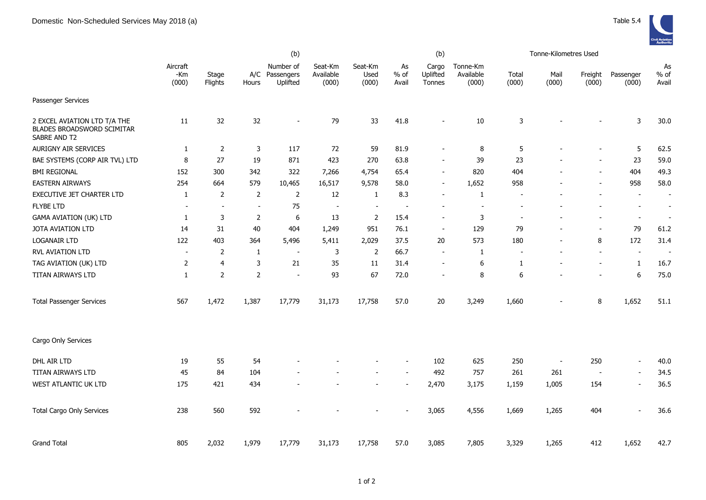|                                                                            | (b)                      |                  |                          |                                         |                               |                          |                       | (b)                         |                                |                |                          | Tonne-Kilometres Used    |                          |                          |  |  |
|----------------------------------------------------------------------------|--------------------------|------------------|--------------------------|-----------------------------------------|-------------------------------|--------------------------|-----------------------|-----------------------------|--------------------------------|----------------|--------------------------|--------------------------|--------------------------|--------------------------|--|--|
|                                                                            | Aircraft<br>-Km<br>(000) | Stage<br>Flights | Hours                    | Number of<br>A/C Passengers<br>Uplifted | Seat-Km<br>Available<br>(000) | Seat-Km<br>Used<br>(000) | As<br>$%$ of<br>Avail | Cargo<br>Uplifted<br>Tonnes | Tonne-Km<br>Available<br>(000) | Total<br>(000) | Mail<br>(000)            | Freight<br>(000)         | Passenger<br>(000)       | As<br>$%$ of<br>Avail    |  |  |
| Passenger Services                                                         |                          |                  |                          |                                         |                               |                          |                       |                             |                                |                |                          |                          |                          |                          |  |  |
| 2 EXCEL AVIATION LTD T/A THE<br>BLADES BROADSWORD SCIMITAR<br>SABRE AND T2 | 11                       | 32               | 32                       | $\overline{\phantom{a}}$                | 79                            | 33                       | 41.8                  |                             | 10                             | 3              |                          |                          | 3                        | 30.0                     |  |  |
| <b>AURIGNY AIR SERVICES</b>                                                | $\mathbf{1}$             | $\overline{2}$   | 3                        | 117                                     | 72                            | 59                       | 81.9                  | $\overline{\phantom{a}}$    | 8                              | 5              |                          | $\overline{\phantom{a}}$ | 5                        | 62.5                     |  |  |
| BAE SYSTEMS (CORP AIR TVL) LTD                                             | 8                        | 27               | 19                       | 871                                     | 423                           | 270                      | 63.8                  | $\overline{\phantom{a}}$    | 39                             | 23             |                          | $\overline{a}$           | 23                       | 59.0                     |  |  |
| <b>BMI REGIONAL</b>                                                        | 152                      | 300              | 342                      | 322                                     | 7,266                         | 4,754                    | 65.4                  | $\overline{\phantom{a}}$    | 820                            | 404            |                          |                          | 404                      | 49.3                     |  |  |
| <b>EASTERN AIRWAYS</b>                                                     | 254                      | 664              | 579                      | 10,465                                  | 16,517                        | 9,578                    | 58.0                  | $\blacksquare$              | 1,652                          | 958            |                          | $\overline{\phantom{a}}$ | 958                      | 58.0                     |  |  |
| EXECUTIVE JET CHARTER LTD                                                  | $\mathbf{1}$             | $\mathbf 2$      | $\overline{2}$           | $\overline{2}$                          | 12                            | 1                        | 8.3                   | $\overline{\phantom{a}}$    | $\mathbf{1}$                   |                |                          |                          | $\overline{\phantom{a}}$ | $\blacksquare$           |  |  |
| <b>FLYBE LTD</b>                                                           |                          | $\overline{a}$   | $\overline{\phantom{a}}$ | 75                                      | $\blacksquare$                | $\overline{\phantom{a}}$ |                       |                             |                                |                |                          |                          | $\overline{a}$           | $\overline{\phantom{a}}$ |  |  |
| <b>GAMA AVIATION (UK) LTD</b>                                              | 1                        | 3                | 2                        | 6                                       | 13                            | 2                        | 15.4                  | $\overline{\phantom{a}}$    | 3                              |                |                          | $\blacksquare$           | $\blacksquare$           | $\blacksquare$           |  |  |
| JOTA AVIATION LTD                                                          | 14                       | 31               | 40                       | 404                                     | 1,249                         | 951                      | 76.1                  | $\blacksquare$              | 129                            | 79             | $\overline{a}$           | $\overline{a}$           | 79                       | 61.2                     |  |  |
| LOGANAIR LTD                                                               | 122                      | 403              | 364                      | 5,496                                   | 5,411                         | 2,029                    | 37.5                  | 20                          | 573                            | 180            | $\overline{\phantom{a}}$ | 8                        | 172                      | 31.4                     |  |  |
| RVL AVIATION LTD                                                           |                          | 2                | -1                       | $\overline{a}$                          | 3                             | 2                        | 66.7                  |                             | -1                             |                |                          |                          | $\overline{\phantom{a}}$ | $\overline{\phantom{a}}$ |  |  |
| TAG AVIATION (UK) LTD                                                      | 2                        | $\overline{4}$   | 3                        | 21                                      | 35                            | 11                       | 31.4                  | $\overline{\phantom{a}}$    | 6                              | $\mathbf{1}$   |                          | $\overline{a}$           | $\mathbf{1}$             | 16.7                     |  |  |
| TITAN AIRWAYS LTD                                                          | 1                        | $\overline{2}$   | $\overline{2}$           | $\blacksquare$                          | 93                            | 67                       | 72.0                  | $\overline{\phantom{a}}$    | 8                              | 6              |                          | $\overline{\phantom{a}}$ | $\boldsymbol{6}$         | 75.0                     |  |  |
| <b>Total Passenger Services</b>                                            | 567                      | 1,472            | 1,387                    | 17,779                                  | 31,173                        | 17,758                   | 57.0                  | 20                          | 3,249                          | 1,660          |                          | 8                        | 1,652                    | 51.1                     |  |  |
| Cargo Only Services                                                        |                          |                  |                          |                                         |                               |                          |                       |                             |                                |                |                          |                          |                          |                          |  |  |
| DHL AIR LTD                                                                | 19                       | 55               | 54                       |                                         |                               |                          |                       | 102                         | 625                            | 250            | $\overline{\phantom{a}}$ | 250                      | $\blacksquare$           | 40.0                     |  |  |
| TITAN AIRWAYS LTD                                                          | 45                       | 84               | 104                      |                                         |                               |                          |                       | 492                         | 757                            | 261            | 261                      | $\overline{\phantom{a}}$ | $\overline{a}$           | 34.5                     |  |  |
| WEST ATLANTIC UK LTD                                                       | 175                      | 421              | 434                      |                                         |                               |                          |                       | 2,470                       | 3,175                          | 1,159          | 1,005                    | 154                      | $\blacksquare$           | 36.5                     |  |  |
| <b>Total Cargo Only Services</b>                                           | 238                      | 560              | 592                      |                                         |                               |                          |                       | 3,065                       | 4,556                          | 1,669          | 1,265                    | 404                      | $\overline{\phantom{a}}$ | 36.6                     |  |  |
| <b>Grand Total</b>                                                         | 805                      | 2,032            | 1,979                    | 17,779                                  | 31,173                        | 17,758                   | 57.0                  | 3,085                       | 7,805                          | 3,329          | 1,265                    | 412                      | 1,652                    | 42.7                     |  |  |